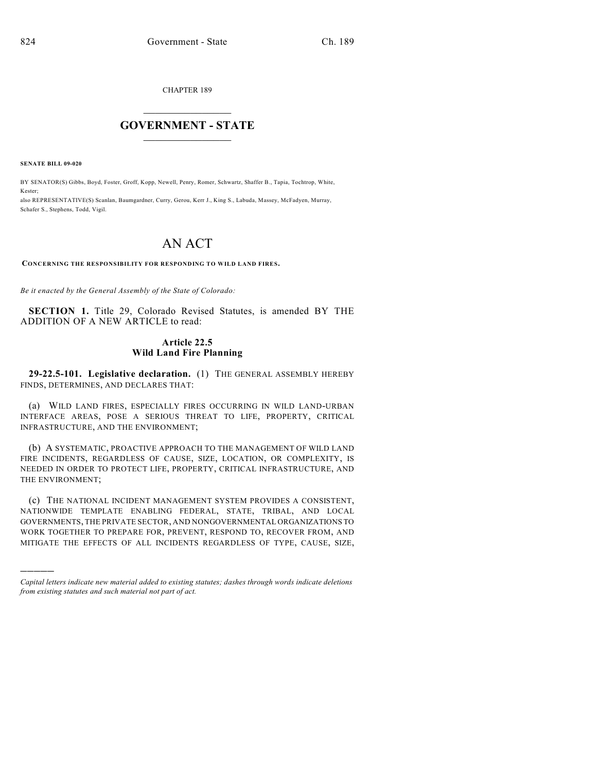CHAPTER 189

## $\mathcal{L}_\text{max}$  . The set of the set of the set of the set of the set of the set of the set of the set of the set of the set of the set of the set of the set of the set of the set of the set of the set of the set of the set **GOVERNMENT - STATE**  $\_$   $\_$   $\_$   $\_$   $\_$   $\_$   $\_$   $\_$

**SENATE BILL 09-020**

)))))

BY SENATOR(S) Gibbs, Boyd, Foster, Groff, Kopp, Newell, Penry, Romer, Schwartz, Shaffer B., Tapia, Tochtrop, White, Kester;

also REPRESENTATIVE(S) Scanlan, Baumgardner, Curry, Gerou, Kerr J., King S., Labuda, Massey, McFadyen, Murray, Schafer S., Stephens, Todd, Vigil.

## AN ACT

## **CONCERNING THE RESPONSIBILITY FOR RESPONDING TO WILD LAND FIRES.**

*Be it enacted by the General Assembly of the State of Colorado:*

**SECTION 1.** Title 29, Colorado Revised Statutes, is amended BY THE ADDITION OF A NEW ARTICLE to read:

## **Article 22.5 Wild Land Fire Planning**

**29-22.5-101. Legislative declaration.** (1) THE GENERAL ASSEMBLY HEREBY FINDS, DETERMINES, AND DECLARES THAT:

(a) WILD LAND FIRES, ESPECIALLY FIRES OCCURRING IN WILD LAND-URBAN INTERFACE AREAS, POSE A SERIOUS THREAT TO LIFE, PROPERTY, CRITICAL INFRASTRUCTURE, AND THE ENVIRONMENT;

(b) A SYSTEMATIC, PROACTIVE APPROACH TO THE MANAGEMENT OF WILD LAND FIRE INCIDENTS, REGARDLESS OF CAUSE, SIZE, LOCATION, OR COMPLEXITY, IS NEEDED IN ORDER TO PROTECT LIFE, PROPERTY, CRITICAL INFRASTRUCTURE, AND THE ENVIRONMENT;

(c) THE NATIONAL INCIDENT MANAGEMENT SYSTEM PROVIDES A CONSISTENT, NATIONWIDE TEMPLATE ENABLING FEDERAL, STATE, TRIBAL, AND LOCAL GOVERNMENTS, THE PRIVATE SECTOR, AND NONGOVERNMENTAL ORGANIZATIONS TO WORK TOGETHER TO PREPARE FOR, PREVENT, RESPOND TO, RECOVER FROM, AND MITIGATE THE EFFECTS OF ALL INCIDENTS REGARDLESS OF TYPE, CAUSE, SIZE,

*Capital letters indicate new material added to existing statutes; dashes through words indicate deletions from existing statutes and such material not part of act.*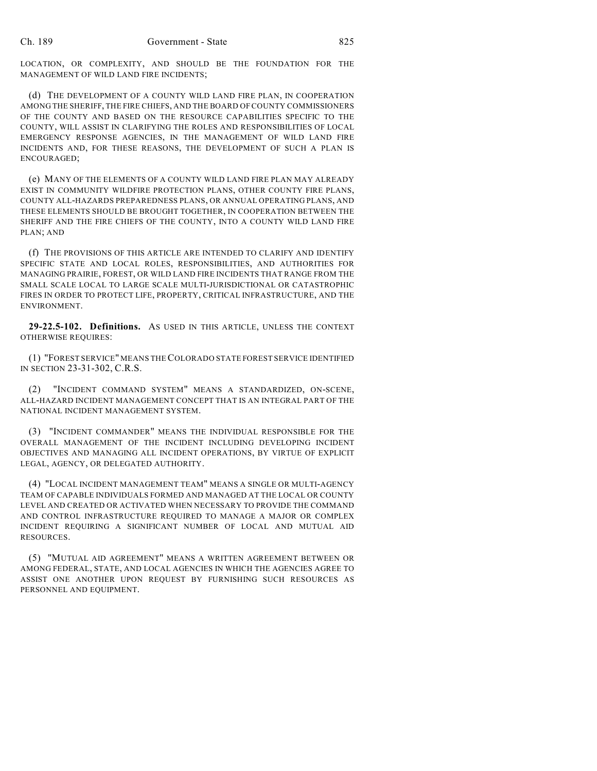LOCATION, OR COMPLEXITY, AND SHOULD BE THE FOUNDATION FOR THE MANAGEMENT OF WILD LAND FIRE INCIDENTS;

(d) THE DEVELOPMENT OF A COUNTY WILD LAND FIRE PLAN, IN COOPERATION AMONG THE SHERIFF, THE FIRE CHIEFS, AND THE BOARD OF COUNTY COMMISSIONERS OF THE COUNTY AND BASED ON THE RESOURCE CAPABILITIES SPECIFIC TO THE COUNTY, WILL ASSIST IN CLARIFYING THE ROLES AND RESPONSIBILITIES OF LOCAL EMERGENCY RESPONSE AGENCIES, IN THE MANAGEMENT OF WILD LAND FIRE INCIDENTS AND, FOR THESE REASONS, THE DEVELOPMENT OF SUCH A PLAN IS ENCOURAGED;

(e) MANY OF THE ELEMENTS OF A COUNTY WILD LAND FIRE PLAN MAY ALREADY EXIST IN COMMUNITY WILDFIRE PROTECTION PLANS, OTHER COUNTY FIRE PLANS, COUNTY ALL-HAZARDS PREPAREDNESS PLANS, OR ANNUAL OPERATING PLANS, AND THESE ELEMENTS SHOULD BE BROUGHT TOGETHER, IN COOPERATION BETWEEN THE SHERIFF AND THE FIRE CHIEFS OF THE COUNTY, INTO A COUNTY WILD LAND FIRE PLAN; AND

(f) THE PROVISIONS OF THIS ARTICLE ARE INTENDED TO CLARIFY AND IDENTIFY SPECIFIC STATE AND LOCAL ROLES, RESPONSIBILITIES, AND AUTHORITIES FOR MANAGING PRAIRIE, FOREST, OR WILD LAND FIRE INCIDENTS THAT RANGE FROM THE SMALL SCALE LOCAL TO LARGE SCALE MULTI-JURISDICTIONAL OR CATASTROPHIC FIRES IN ORDER TO PROTECT LIFE, PROPERTY, CRITICAL INFRASTRUCTURE, AND THE ENVIRONMENT.

**29-22.5-102. Definitions.** AS USED IN THIS ARTICLE, UNLESS THE CONTEXT OTHERWISE REQUIRES:

(1) "FOREST SERVICE" MEANS THE COLORADO STATE FOREST SERVICE IDENTIFIED IN SECTION 23-31-302, C.R.S.

(2) "INCIDENT COMMAND SYSTEM" MEANS A STANDARDIZED, ON-SCENE, ALL-HAZARD INCIDENT MANAGEMENT CONCEPT THAT IS AN INTEGRAL PART OF THE NATIONAL INCIDENT MANAGEMENT SYSTEM.

(3) "INCIDENT COMMANDER" MEANS THE INDIVIDUAL RESPONSIBLE FOR THE OVERALL MANAGEMENT OF THE INCIDENT INCLUDING DEVELOPING INCIDENT OBJECTIVES AND MANAGING ALL INCIDENT OPERATIONS, BY VIRTUE OF EXPLICIT LEGAL, AGENCY, OR DELEGATED AUTHORITY.

(4) "LOCAL INCIDENT MANAGEMENT TEAM" MEANS A SINGLE OR MULTI-AGENCY TEAM OF CAPABLE INDIVIDUALS FORMED AND MANAGED AT THE LOCAL OR COUNTY LEVEL AND CREATED OR ACTIVATED WHEN NECESSARY TO PROVIDE THE COMMAND AND CONTROL INFRASTRUCTURE REQUIRED TO MANAGE A MAJOR OR COMPLEX INCIDENT REQUIRING A SIGNIFICANT NUMBER OF LOCAL AND MUTUAL AID RESOURCES.

(5) "MUTUAL AID AGREEMENT" MEANS A WRITTEN AGREEMENT BETWEEN OR AMONG FEDERAL, STATE, AND LOCAL AGENCIES IN WHICH THE AGENCIES AGREE TO ASSIST ONE ANOTHER UPON REQUEST BY FURNISHING SUCH RESOURCES AS PERSONNEL AND EQUIPMENT.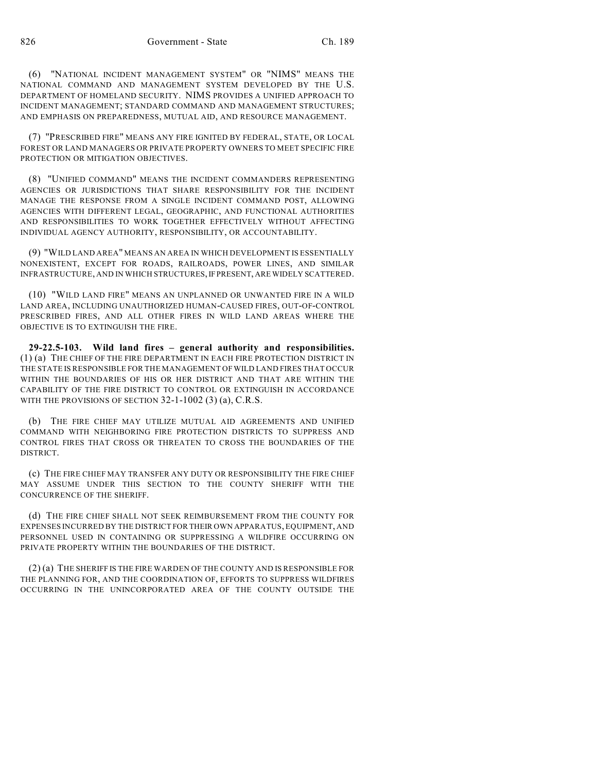(6) "NATIONAL INCIDENT MANAGEMENT SYSTEM" OR "NIMS" MEANS THE NATIONAL COMMAND AND MANAGEMENT SYSTEM DEVELOPED BY THE U.S. DEPARTMENT OF HOMELAND SECURITY. NIMS PROVIDES A UNIFIED APPROACH TO INCIDENT MANAGEMENT; STANDARD COMMAND AND MANAGEMENT STRUCTURES; AND EMPHASIS ON PREPAREDNESS, MUTUAL AID, AND RESOURCE MANAGEMENT.

(7) "PRESCRIBED FIRE" MEANS ANY FIRE IGNITED BY FEDERAL, STATE, OR LOCAL FOREST OR LAND MANAGERS OR PRIVATE PROPERTY OWNERS TO MEET SPECIFIC FIRE PROTECTION OR MITIGATION OBJECTIVES.

(8) "UNIFIED COMMAND" MEANS THE INCIDENT COMMANDERS REPRESENTING AGENCIES OR JURISDICTIONS THAT SHARE RESPONSIBILITY FOR THE INCIDENT MANAGE THE RESPONSE FROM A SINGLE INCIDENT COMMAND POST, ALLOWING AGENCIES WITH DIFFERENT LEGAL, GEOGRAPHIC, AND FUNCTIONAL AUTHORITIES AND RESPONSIBILITIES TO WORK TOGETHER EFFECTIVELY WITHOUT AFFECTING INDIVIDUAL AGENCY AUTHORITY, RESPONSIBILITY, OR ACCOUNTABILITY.

(9) "WILD LAND AREA" MEANS AN AREA IN WHICH DEVELOPMENT IS ESSENTIALLY NONEXISTENT, EXCEPT FOR ROADS, RAILROADS, POWER LINES, AND SIMILAR INFRASTRUCTURE, AND IN WHICH STRUCTURES, IF PRESENT, ARE WIDELY SCATTERED.

(10) "WILD LAND FIRE" MEANS AN UNPLANNED OR UNWANTED FIRE IN A WILD LAND AREA, INCLUDING UNAUTHORIZED HUMAN-CAUSED FIRES, OUT-OF-CONTROL PRESCRIBED FIRES, AND ALL OTHER FIRES IN WILD LAND AREAS WHERE THE OBJECTIVE IS TO EXTINGUISH THE FIRE.

**29-22.5-103. Wild land fires – general authority and responsibilities.** (1) (a) THE CHIEF OF THE FIRE DEPARTMENT IN EACH FIRE PROTECTION DISTRICT IN THE STATE IS RESPONSIBLE FOR THE MANAGEMENT OF WILD LAND FIRES THAT OCCUR WITHIN THE BOUNDARIES OF HIS OR HER DISTRICT AND THAT ARE WITHIN THE CAPABILITY OF THE FIRE DISTRICT TO CONTROL OR EXTINGUISH IN ACCORDANCE WITH THE PROVISIONS OF SECTION 32-1-1002 (3) (a), C.R.S.

(b) THE FIRE CHIEF MAY UTILIZE MUTUAL AID AGREEMENTS AND UNIFIED COMMAND WITH NEIGHBORING FIRE PROTECTION DISTRICTS TO SUPPRESS AND CONTROL FIRES THAT CROSS OR THREATEN TO CROSS THE BOUNDARIES OF THE DISTRICT.

(c) THE FIRE CHIEF MAY TRANSFER ANY DUTY OR RESPONSIBILITY THE FIRE CHIEF MAY ASSUME UNDER THIS SECTION TO THE COUNTY SHERIFF WITH THE CONCURRENCE OF THE SHERIFF.

(d) THE FIRE CHIEF SHALL NOT SEEK REIMBURSEMENT FROM THE COUNTY FOR EXPENSES INCURRED BY THE DISTRICT FOR THEIR OWN APPARATUS, EQUIPMENT, AND PERSONNEL USED IN CONTAINING OR SUPPRESSING A WILDFIRE OCCURRING ON PRIVATE PROPERTY WITHIN THE BOUNDARIES OF THE DISTRICT.

(2) (a) THE SHERIFF IS THE FIRE WARDEN OF THE COUNTY AND IS RESPONSIBLE FOR THE PLANNING FOR, AND THE COORDINATION OF, EFFORTS TO SUPPRESS WILDFIRES OCCURRING IN THE UNINCORPORATED AREA OF THE COUNTY OUTSIDE THE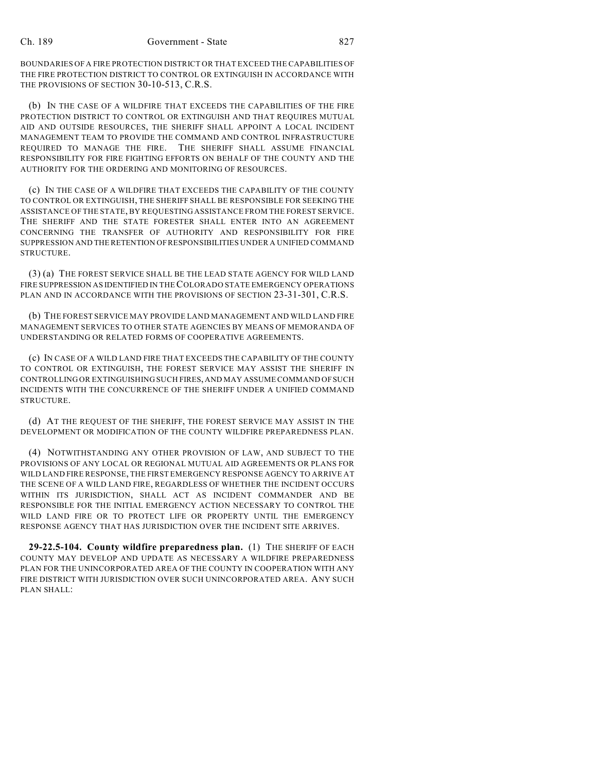BOUNDARIES OF A FIRE PROTECTION DISTRICT OR THAT EXCEED THE CAPABILITIES OF THE FIRE PROTECTION DISTRICT TO CONTROL OR EXTINGUISH IN ACCORDANCE WITH THE PROVISIONS OF SECTION 30-10-513, C.R.S.

(b) IN THE CASE OF A WILDFIRE THAT EXCEEDS THE CAPABILITIES OF THE FIRE PROTECTION DISTRICT TO CONTROL OR EXTINGUISH AND THAT REQUIRES MUTUAL AID AND OUTSIDE RESOURCES, THE SHERIFF SHALL APPOINT A LOCAL INCIDENT MANAGEMENT TEAM TO PROVIDE THE COMMAND AND CONTROL INFRASTRUCTURE REQUIRED TO MANAGE THE FIRE. THE SHERIFF SHALL ASSUME FINANCIAL RESPONSIBILITY FOR FIRE FIGHTING EFFORTS ON BEHALF OF THE COUNTY AND THE AUTHORITY FOR THE ORDERING AND MONITORING OF RESOURCES.

(c) IN THE CASE OF A WILDFIRE THAT EXCEEDS THE CAPABILITY OF THE COUNTY TO CONTROL OR EXTINGUISH, THE SHERIFF SHALL BE RESPONSIBLE FOR SEEKING THE ASSISTANCE OF THE STATE, BY REQUESTING ASSISTANCE FROM THE FOREST SERVICE. THE SHERIFF AND THE STATE FORESTER SHALL ENTER INTO AN AGREEMENT CONCERNING THE TRANSFER OF AUTHORITY AND RESPONSIBILITY FOR FIRE SUPPRESSION AND THE RETENTION OF RESPONSIBILITIES UNDER A UNIFIED COMMAND STRUCTURE.

(3) (a) THE FOREST SERVICE SHALL BE THE LEAD STATE AGENCY FOR WILD LAND FIRE SUPPRESSION AS IDENTIFIED IN THE COLORADO STATE EMERGENCY OPERATIONS PLAN AND IN ACCORDANCE WITH THE PROVISIONS OF SECTION 23-31-301, C.R.S.

(b) THE FOREST SERVICE MAY PROVIDE LAND MANAGEMENT AND WILD LAND FIRE MANAGEMENT SERVICES TO OTHER STATE AGENCIES BY MEANS OF MEMORANDA OF UNDERSTANDING OR RELATED FORMS OF COOPERATIVE AGREEMENTS.

(c) IN CASE OF A WILD LAND FIRE THAT EXCEEDS THE CAPABILITY OF THE COUNTY TO CONTROL OR EXTINGUISH, THE FOREST SERVICE MAY ASSIST THE SHERIFF IN CONTROLLING OR EXTINGUISHING SUCH FIRES, AND MAY ASSUME COMMAND OF SUCH INCIDENTS WITH THE CONCURRENCE OF THE SHERIFF UNDER A UNIFIED COMMAND STRUCTURE.

(d) AT THE REQUEST OF THE SHERIFF, THE FOREST SERVICE MAY ASSIST IN THE DEVELOPMENT OR MODIFICATION OF THE COUNTY WILDFIRE PREPAREDNESS PLAN.

(4) NOTWITHSTANDING ANY OTHER PROVISION OF LAW, AND SUBJECT TO THE PROVISIONS OF ANY LOCAL OR REGIONAL MUTUAL AID AGREEMENTS OR PLANS FOR WILD LAND FIRE RESPONSE, THE FIRST EMERGENCY RESPONSE AGENCY TO ARRIVE AT THE SCENE OF A WILD LAND FIRE, REGARDLESS OF WHETHER THE INCIDENT OCCURS WITHIN ITS JURISDICTION, SHALL ACT AS INCIDENT COMMANDER AND BE RESPONSIBLE FOR THE INITIAL EMERGENCY ACTION NECESSARY TO CONTROL THE WILD LAND FIRE OR TO PROTECT LIFE OR PROPERTY UNTIL THE EMERGENCY RESPONSE AGENCY THAT HAS JURISDICTION OVER THE INCIDENT SITE ARRIVES.

**29-22.5-104. County wildfire preparedness plan.** (1) THE SHERIFF OF EACH COUNTY MAY DEVELOP AND UPDATE AS NECESSARY A WILDFIRE PREPAREDNESS PLAN FOR THE UNINCORPORATED AREA OF THE COUNTY IN COOPERATION WITH ANY FIRE DISTRICT WITH JURISDICTION OVER SUCH UNINCORPORATED AREA. ANY SUCH PLAN SHALL: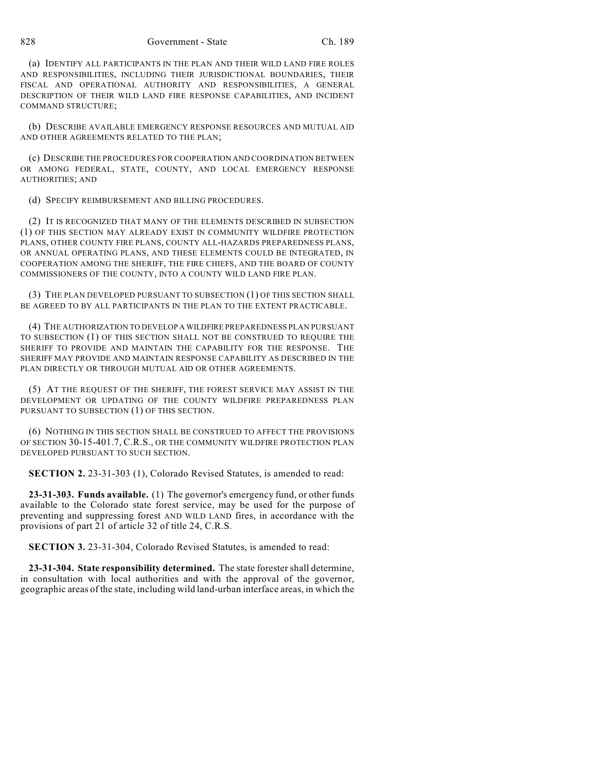828 Government - State Ch. 189

(a) IDENTIFY ALL PARTICIPANTS IN THE PLAN AND THEIR WILD LAND FIRE ROLES AND RESPONSIBILITIES, INCLUDING THEIR JURISDICTIONAL BOUNDARIES, THEIR FISCAL AND OPERATIONAL AUTHORITY AND RESPONSIBILITIES, A GENERAL DESCRIPTION OF THEIR WILD LAND FIRE RESPONSE CAPABILITIES, AND INCIDENT COMMAND STRUCTURE;

(b) DESCRIBE AVAILABLE EMERGENCY RESPONSE RESOURCES AND MUTUAL AID AND OTHER AGREEMENTS RELATED TO THE PLAN;

(c) DESCRIBE THE PROCEDURES FOR COOPERATION AND COORDINATION BETWEEN OR AMONG FEDERAL, STATE, COUNTY, AND LOCAL EMERGENCY RESPONSE AUTHORITIES; AND

(d) SPECIFY REIMBURSEMENT AND BILLING PROCEDURES.

(2) IT IS RECOGNIZED THAT MANY OF THE ELEMENTS DESCRIBED IN SUBSECTION (1) OF THIS SECTION MAY ALREADY EXIST IN COMMUNITY WILDFIRE PROTECTION PLANS, OTHER COUNTY FIRE PLANS, COUNTY ALL-HAZARDS PREPAREDNESS PLANS, OR ANNUAL OPERATING PLANS, AND THESE ELEMENTS COULD BE INTEGRATED, IN COOPERATION AMONG THE SHERIFF, THE FIRE CHIEFS, AND THE BOARD OF COUNTY COMMISSIONERS OF THE COUNTY, INTO A COUNTY WILD LAND FIRE PLAN.

(3) THE PLAN DEVELOPED PURSUANT TO SUBSECTION (1) OF THIS SECTION SHALL BE AGREED TO BY ALL PARTICIPANTS IN THE PLAN TO THE EXTENT PRACTICABLE.

(4) THE AUTHORIZATION TO DEVELOP A WILDFIRE PREPAREDNESS PLAN PURSUANT TO SUBSECTION (1) OF THIS SECTION SHALL NOT BE CONSTRUED TO REQUIRE THE SHERIFF TO PROVIDE AND MAINTAIN THE CAPABILITY FOR THE RESPONSE. THE SHERIFF MAY PROVIDE AND MAINTAIN RESPONSE CAPABILITY AS DESCRIBED IN THE PLAN DIRECTLY OR THROUGH MUTUAL AID OR OTHER AGREEMENTS.

(5) AT THE REQUEST OF THE SHERIFF, THE FOREST SERVICE MAY ASSIST IN THE DEVELOPMENT OR UPDATING OF THE COUNTY WILDFIRE PREPAREDNESS PLAN PURSUANT TO SUBSECTION (1) OF THIS SECTION.

(6) NOTHING IN THIS SECTION SHALL BE CONSTRUED TO AFFECT THE PROVISIONS OF SECTION 30-15-401.7, C.R.S., OR THE COMMUNITY WILDFIRE PROTECTION PLAN DEVELOPED PURSUANT TO SUCH SECTION.

**SECTION 2.** 23-31-303 (1), Colorado Revised Statutes, is amended to read:

**23-31-303. Funds available.** (1) The governor's emergency fund, or other funds available to the Colorado state forest service, may be used for the purpose of preventing and suppressing forest AND WILD LAND fires, in accordance with the provisions of part 21 of article 32 of title 24, C.R.S.

**SECTION 3.** 23-31-304, Colorado Revised Statutes, is amended to read:

**23-31-304. State responsibility determined.** The state forester shall determine, in consultation with local authorities and with the approval of the governor, geographic areas of the state, including wild land-urban interface areas, in which the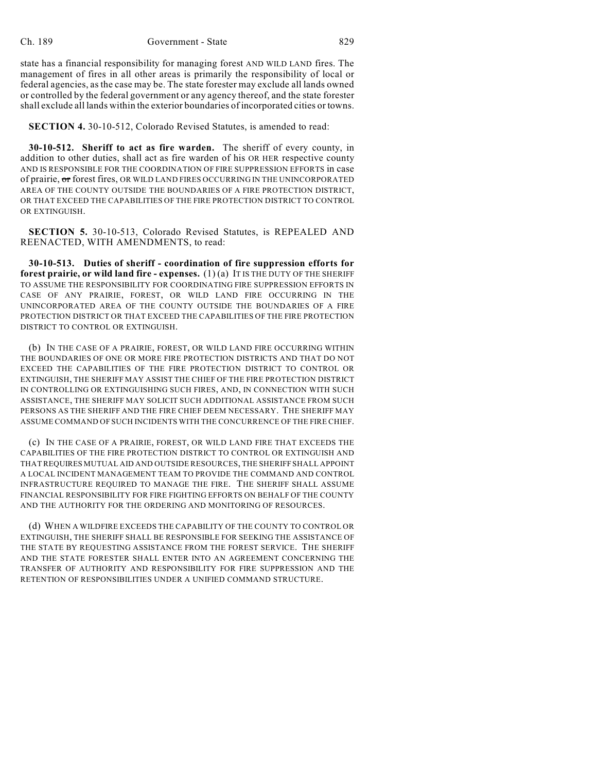state has a financial responsibility for managing forest AND WILD LAND fires. The management of fires in all other areas is primarily the responsibility of local or federal agencies, asthe case may be. The state forester may exclude all lands owned or controlled by the federal government or any agency thereof, and the state forester shall exclude all lands within the exterior boundaries of incorporated cities or towns.

**SECTION 4.** 30-10-512, Colorado Revised Statutes, is amended to read:

**30-10-512. Sheriff to act as fire warden.** The sheriff of every county, in addition to other duties, shall act as fire warden of his OR HER respective county AND IS RESPONSIBLE FOR THE COORDINATION OF FIRE SUPPRESSION EFFORTS in case of prairie, or forest fires, OR WILD LAND FIRES OCCURRING IN THE UNINCORPORATED AREA OF THE COUNTY OUTSIDE THE BOUNDARIES OF A FIRE PROTECTION DISTRICT, OR THAT EXCEED THE CAPABILITIES OF THE FIRE PROTECTION DISTRICT TO CONTROL OR EXTINGUISH.

**SECTION 5.** 30-10-513, Colorado Revised Statutes, is REPEALED AND REENACTED, WITH AMENDMENTS, to read:

**30-10-513. Duties of sheriff - coordination of fire suppression efforts for forest prairie, or wild land fire - expenses.** (1) (a) IT IS THE DUTY OF THE SHERIFF TO ASSUME THE RESPONSIBILITY FOR COORDINATING FIRE SUPPRESSION EFFORTS IN CASE OF ANY PRAIRIE, FOREST, OR WILD LAND FIRE OCCURRING IN THE UNINCORPORATED AREA OF THE COUNTY OUTSIDE THE BOUNDARIES OF A FIRE PROTECTION DISTRICT OR THAT EXCEED THE CAPABILITIES OF THE FIRE PROTECTION DISTRICT TO CONTROL OR EXTINGUISH.

(b) IN THE CASE OF A PRAIRIE, FOREST, OR WILD LAND FIRE OCCURRING WITHIN THE BOUNDARIES OF ONE OR MORE FIRE PROTECTION DISTRICTS AND THAT DO NOT EXCEED THE CAPABILITIES OF THE FIRE PROTECTION DISTRICT TO CONTROL OR EXTINGUISH, THE SHERIFF MAY ASSIST THE CHIEF OF THE FIRE PROTECTION DISTRICT IN CONTROLLING OR EXTINGUISHING SUCH FIRES, AND, IN CONNECTION WITH SUCH ASSISTANCE, THE SHERIFF MAY SOLICIT SUCH ADDITIONAL ASSISTANCE FROM SUCH PERSONS AS THE SHERIFF AND THE FIRE CHIEF DEEM NECESSARY. THE SHERIFF MAY ASSUME COMMAND OF SUCH INCIDENTS WITH THE CONCURRENCE OF THE FIRE CHIEF.

(c) IN THE CASE OF A PRAIRIE, FOREST, OR WILD LAND FIRE THAT EXCEEDS THE CAPABILITIES OF THE FIRE PROTECTION DISTRICT TO CONTROL OR EXTINGUISH AND THAT REQUIRES MUTUAL AID AND OUTSIDE RESOURCES, THE SHERIFF SHALL APPOINT A LOCAL INCIDENT MANAGEMENT TEAM TO PROVIDE THE COMMAND AND CONTROL INFRASTRUCTURE REQUIRED TO MANAGE THE FIRE. THE SHERIFF SHALL ASSUME FINANCIAL RESPONSIBILITY FOR FIRE FIGHTING EFFORTS ON BEHALF OF THE COUNTY AND THE AUTHORITY FOR THE ORDERING AND MONITORING OF RESOURCES.

(d) WHEN A WILDFIRE EXCEEDS THE CAPABILITY OF THE COUNTY TO CONTROL OR EXTINGUISH, THE SHERIFF SHALL BE RESPONSIBLE FOR SEEKING THE ASSISTANCE OF THE STATE BY REQUESTING ASSISTANCE FROM THE FOREST SERVICE. THE SHERIFF AND THE STATE FORESTER SHALL ENTER INTO AN AGREEMENT CONCERNING THE TRANSFER OF AUTHORITY AND RESPONSIBILITY FOR FIRE SUPPRESSION AND THE RETENTION OF RESPONSIBILITIES UNDER A UNIFIED COMMAND STRUCTURE.